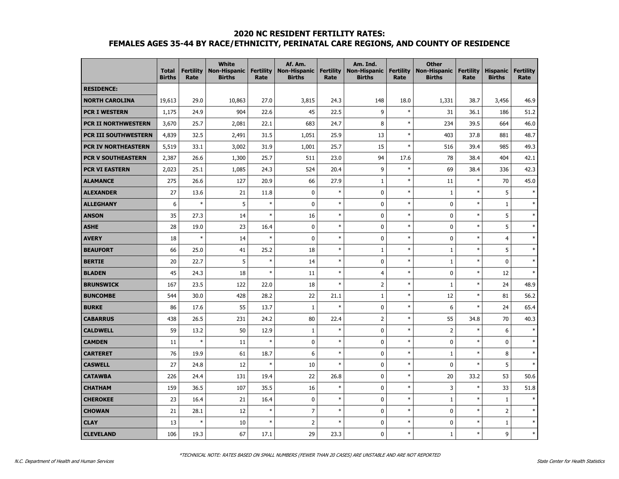#### **2020 NC RESIDENT FERTILITY RATES:**

# **FEMALES AGES 35-44 BY RACE/ETHNICITY, PERINATAL CARE REGIONS, AND COUNTY OF RESIDENCE**

|                            | <b>Total</b><br><b>Births</b> | <b>Fertility</b><br>Rate | <b>White</b><br><b>Non-Hispanic</b><br><b>Births</b> | <b>Fertility</b><br>Rate | Af. Am.<br><b>Non-Hispanic</b><br><b>Births</b> | <b>Fertility</b><br>Rate | Am. Ind.<br><b>Non-Hispanic</b><br><b>Births</b> | <b>Fertility</b><br>Rate | <b>Other</b><br><b>Non-Hispanic</b><br><b>Births</b> | <b>Fertility</b><br>Rate | <b>Hispanic</b><br><b>Births</b> | <b>Fertility</b><br>Rate |
|----------------------------|-------------------------------|--------------------------|------------------------------------------------------|--------------------------|-------------------------------------------------|--------------------------|--------------------------------------------------|--------------------------|------------------------------------------------------|--------------------------|----------------------------------|--------------------------|
| <b>RESIDENCE:</b>          |                               |                          |                                                      |                          |                                                 |                          |                                                  |                          |                                                      |                          |                                  |                          |
| <b>NORTH CAROLINA</b>      | 19,613                        | 29.0                     | 10,863                                               | 27.0                     | 3,815                                           | 24.3                     | 148                                              | 18.0                     | 1,331                                                | 38.7                     | 3,456                            | 46.9                     |
| <b>PCR I WESTERN</b>       | 1,175                         | 24.9                     | 904                                                  | 22.6                     | 45                                              | 22.5                     | 9                                                | $\ast$                   | 31                                                   | 36.1                     | 186                              | 51.2                     |
| <b>PCR II NORTHWESTERN</b> | 3,670                         | 25.7                     | 2,081                                                | 22.1                     | 683                                             | 24.7                     | 8                                                | $\ast$                   | 234                                                  | 39.5                     | 664                              | 46.0                     |
| PCR III SOUTHWESTERN       | 4,839                         | 32.5                     | 2,491                                                | 31.5                     | 1,051                                           | 25.9                     | 13                                               | $\ast$                   | 403                                                  | 37.8                     | 881                              | 48.7                     |
| PCR IV NORTHEASTERN        | 5,519                         | 33.1                     | 3,002                                                | 31.9                     | 1,001                                           | 25.7                     | 15                                               | $\ast$                   | 516                                                  | 39.4                     | 985                              | 49.3                     |
| <b>PCR V SOUTHEASTERN</b>  | 2,387                         | 26.6                     | 1,300                                                | 25.7                     | 511                                             | 23.0                     | 94                                               | 17.6                     | 78                                                   | 38.4                     | 404                              | 42.1                     |
| <b>PCR VI EASTERN</b>      | 2,023                         | 25.1                     | 1,085                                                | 24.3                     | 524                                             | 20.4                     | 9                                                | $\ast$                   | 69                                                   | 38.4                     | 336                              | 42.3                     |
| <b>ALAMANCE</b>            | 275                           | 26.6                     | 127                                                  | 20.9                     | 66                                              | 27.9                     | $\mathbf{1}$                                     | $\ast$                   | 11                                                   | $\ast$                   | 70                               | 45.0                     |
| <b>ALEXANDER</b>           | 27                            | 13.6                     | 21                                                   | 11.8                     | $\pmb{0}$                                       | $\ast$                   | 0                                                | $\ast$                   | $\,1\,$                                              | $\ast$                   | 5                                | $\ast$                   |
| <b>ALLEGHANY</b>           | 6                             | $\ast$                   | 5                                                    | $\ast$                   | 0                                               | $\ast$                   | $\mathbf 0$                                      | $\ast$                   | 0                                                    | $\ast$                   | $\mathbf{1}$                     | $\ast$                   |
| <b>ANSON</b>               | 35                            | 27.3                     | 14                                                   | $\ast$                   | 16                                              | $\ast$                   | 0                                                | $\ast$                   | 0                                                    | $\ast$                   | 5                                | $\ast$                   |
| <b>ASHE</b>                | 28                            | 19.0                     | 23                                                   | 16.4                     | 0                                               | $\ast$                   | $\mathbf 0$                                      | $\ast$                   | 0                                                    | $\ast$                   | 5                                | $\ast$                   |
| <b>AVERY</b>               | 18                            | $\ast$                   | 14                                                   | $\ast$                   | 0                                               | $\ast$                   | $\mathbf 0$                                      | $\ast$                   | $\mathbf 0$                                          | $\ast$                   | $\overline{4}$                   | $\ast$                   |
| <b>BEAUFORT</b>            | 66                            | 25.0                     | 41                                                   | 25.2                     | 18                                              | $\ast$                   | $1\,$                                            | $\ast$                   | $\mathbf{1}$                                         | $\ast$                   | 5                                | $\ast$                   |
| <b>BERTIE</b>              | 20                            | 22.7                     | 5                                                    | $\ast$                   | 14                                              | $\ast$                   | $\mathbf 0$                                      | $\ast$                   | $\,1\,$                                              | $\ast$                   | $\pmb{0}$                        | $\ast$                   |
| <b>BLADEN</b>              | 45                            | 24.3                     | 18                                                   | $\ast$                   | 11                                              | $\ast$                   | $\overline{4}$                                   | $\ast$                   | 0                                                    | $\ast$                   | 12                               | $\ast$                   |
| <b>BRUNSWICK</b>           | 167                           | 23.5                     | 122                                                  | 22.0                     | 18                                              | $\ast$                   | $\overline{2}$                                   | $\ast$                   | $\mathbf{1}$                                         | $\ast$                   | 24                               | 48.9                     |
| <b>BUNCOMBE</b>            | 544                           | 30.0                     | 428                                                  | 28.2                     | 22                                              | 21.1                     | $1\,$                                            | $\ast$                   | 12                                                   | $\ast$                   | 81                               | 56.2                     |
| <b>BURKE</b>               | 86                            | 17.6                     | 55                                                   | 13.7                     | $\mathbf{1}$                                    | $\ast$                   | 0                                                | $\ast$                   | 6                                                    | $\ast$                   | 24                               | 65.4                     |
| <b>CABARRUS</b>            | 438                           | 26.5                     | 231                                                  | 24.2                     | 80                                              | 22.4                     | $\overline{2}$                                   | $\ast$                   | 55                                                   | 34.8                     | 70                               | 40.3                     |
| <b>CALDWELL</b>            | 59                            | 13.2                     | 50                                                   | 12.9                     | $\mathbf{1}$                                    | $\ast$                   | $\mathbf 0$                                      | $\ast$                   | $\overline{2}$                                       | $\ast$                   | 6                                | $\ast$                   |
| <b>CAMDEN</b>              | 11                            | $\ast$                   | 11                                                   | $\ast$                   | 0                                               | $\ast$                   | $\mathbf{0}$                                     | $\ast$                   | $\mathbf 0$                                          | $\ast$                   | $\mathbf 0$                      | $\ast$                   |
| <b>CARTERET</b>            | 76                            | 19.9                     | 61                                                   | 18.7                     | 6                                               | $\ast$                   | $\mathbf{0}$                                     | $\ast$                   | $\mathbf{1}$                                         | $\ast$                   | 8                                | $\ast$                   |
| <b>CASWELL</b>             | 27                            | 24.8                     | 12                                                   | $\ast$                   | 10                                              | $\ast$                   | $\mathbf 0$                                      | $\ast$                   | 0                                                    | $\ast$                   | 5                                | $\ast$                   |
| <b>CATAWBA</b>             | 226                           | 24.4                     | 131                                                  | 19.4                     | 22                                              | 26.8                     | 0                                                | $\ast$                   | 20                                                   | 33.2                     | 53                               | 50.6                     |
| <b>CHATHAM</b>             | 159                           | 36.5                     | 107                                                  | 35.5                     | 16                                              | $\ast$                   | $\mathbf{0}$                                     | $\ast$                   | 3                                                    | $\ast$                   | 33                               | 51.8                     |
| <b>CHEROKEE</b>            | 23                            | 16.4                     | 21                                                   | 16.4                     | $\mathbf 0$                                     | $\ast$                   | $\mathbf 0$                                      | $\ast$                   | $\mathbf{1}$                                         | $\ast$                   | $\mathbf{1}$                     | $\ast$                   |
| <b>CHOWAN</b>              | 21                            | 28.1                     | 12                                                   | $\ast$                   | $\overline{7}$                                  | $\ast$                   | $\mathbf 0$                                      | $\ast$                   | $\mathbf 0$                                          | $\ast$                   | $\overline{2}$                   | $\ast$                   |
| <b>CLAY</b>                | 13                            | $\ast$                   | 10                                                   | $\ast$                   | $\overline{2}$                                  | $\ast$                   | 0                                                | $\ast$                   | 0                                                    | $\ast$                   | $\mathbf{1}$                     | $\ast$                   |
| <b>CLEVELAND</b>           | 106                           | 19.3                     | 67                                                   | 17.1                     | 29                                              | 23.3                     | $\mathbf 0$                                      | $\ast$                   | $\mathbf{1}$                                         | $\ast$                   | 9                                | $\ast$                   |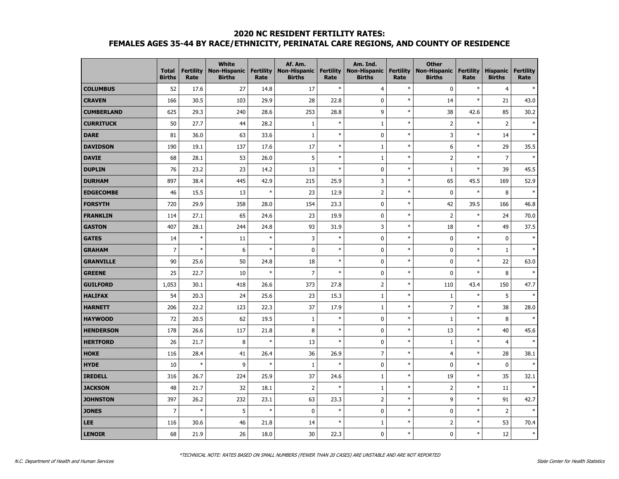# **2020 NC RESIDENT FERTILITY RATES: FEMALES AGES 35-44 BY RACE/ETHNICITY, PERINATAL CARE REGIONS, AND COUNTY OF RESIDENCE**

|                   | <b>Total</b><br><b>Births</b> | <b>Fertility</b><br>Rate | <b>White</b><br><b>Non-Hispanic</b><br><b>Births</b> | <b>Fertility</b><br>Rate | Af. Am.<br>Non-Hispanic<br><b>Births</b> | <b>Fertility</b><br>Rate | Am. Ind.<br><b>Non-Hispanic</b><br><b>Births</b> | <b>Fertility</b><br>Rate | <b>Other</b><br><b>Non-Hispanic</b><br><b>Births</b> | <b>Fertility</b><br>Rate | <b>Hispanic</b><br><b>Births</b> | <b>Fertility</b><br>Rate |
|-------------------|-------------------------------|--------------------------|------------------------------------------------------|--------------------------|------------------------------------------|--------------------------|--------------------------------------------------|--------------------------|------------------------------------------------------|--------------------------|----------------------------------|--------------------------|
| <b>COLUMBUS</b>   | 52                            | 17.6                     | 27                                                   | 14.8                     | 17                                       | $\ast$                   | $\overline{4}$                                   | $\ast$                   | 0                                                    | $\ast$                   | $\overline{4}$                   |                          |
| <b>CRAVEN</b>     | 166                           | 30.5                     | 103                                                  | 29.9                     | 28                                       | 22.8                     | $\mathbf 0$                                      | $\ast$                   | 14                                                   | $\ast$                   | 21                               | 43.0                     |
| <b>CUMBERLAND</b> | 625                           | 29.3                     | 240                                                  | 28.6                     | 253                                      | 28.8                     | 9                                                | $\ast$                   | 38                                                   | 42.6                     | 85                               | 30.2                     |
| <b>CURRITUCK</b>  | 50                            | 27.7                     | 44                                                   | 28.2                     | $1\,$                                    | $\ast$                   | $\mathbf{1}$                                     | $\ast$                   | $\overline{2}$                                       | $\ast$                   | $\overline{2}$                   |                          |
| DARE              | 81                            | 36.0                     | 63                                                   | 33.6                     | 1                                        | $\ast$                   | $\pmb{0}$                                        | $\ast$                   | 3                                                    | $\ast$                   | 14                               | $\ast$                   |
| <b>DAVIDSON</b>   | 190                           | 19.1                     | 137                                                  | 17.6                     | 17                                       | $\ast$                   | 1                                                | $\ast$                   | 6                                                    | $\ast$                   | 29                               | 35.5                     |
| <b>DAVIE</b>      | 68                            | 28.1                     | 53                                                   | 26.0                     | 5                                        | $\ast$                   | $\mathbf{1}$                                     | $\ast$                   | $\overline{2}$                                       | $\ast$                   | $\overline{7}$                   | $\ast$                   |
| <b>DUPLIN</b>     | 76                            | 23.2                     | 23                                                   | 14.2                     | 13                                       | $\ast$                   | $\mathbf 0$                                      | $\ast$                   | $1\,$                                                | $\ast$                   | 39                               | 45.5                     |
| <b>DURHAM</b>     | 897                           | 38.4                     | 445                                                  | 42.9                     | 215                                      | 25.9                     | 3                                                | $\ast$                   | 65                                                   | 45.5                     | 169                              | 52.9                     |
| <b>EDGECOMBE</b>  | 46                            | 15.5                     | 13                                                   | $\ast$                   | 23                                       | 12.9                     | $\mathbf 2$                                      | $\ast$                   | 0                                                    | $\ast$                   | 8                                | $\ast$                   |
| <b>FORSYTH</b>    | 720                           | 29.9                     | 358                                                  | 28.0                     | 154                                      | 23.3                     | $\mathbf 0$                                      | $\ast$                   | 42                                                   | 39.5                     | 166                              | 46.8                     |
| <b>FRANKLIN</b>   | 114                           | 27.1                     | 65                                                   | 24.6                     | 23                                       | 19.9                     | $\mathbf 0$                                      | $\ast$                   | $\overline{2}$                                       | $\ast$                   | 24                               | 70.0                     |
| <b>GASTON</b>     | 407                           | 28.1                     | 244                                                  | 24.8                     | 93                                       | 31.9                     | 3                                                | $\ast$                   | 18                                                   | $\ast$                   | 49                               | 37.5                     |
| <b>GATES</b>      | 14                            | $\ast$                   | 11                                                   | $\ast$                   | 3                                        | $\ast$                   | $\mathbf 0$                                      | $\ast$                   | 0                                                    | $\ast$                   | $\mathbf 0$                      |                          |
| <b>GRAHAM</b>     | 7                             | $\ast$                   | 6                                                    | $\ast$                   | $\mathbf 0$                              | $\ast$                   | $\mathbf 0$                                      | $\ast$                   | 0                                                    | $\ast$                   | $\mathbf{1}$                     |                          |
| <b>GRANVILLE</b>  | 90                            | 25.6                     | 50                                                   | 24.8                     | 18                                       | $\ast$                   | $\pmb{0}$                                        | $\ast$                   | 0                                                    | $\ast$                   | 22                               | 63.0                     |
| <b>GREENE</b>     | 25                            | 22.7                     | 10                                                   | $\ast$                   | $\overline{7}$                           | $\ast$                   | $\pmb{0}$                                        | $\ast$                   | 0                                                    | $\ast$                   | 8                                | $\ast$                   |
| <b>GUILFORD</b>   | 1,053                         | 30.1                     | 418                                                  | 26.6                     | 373                                      | 27.8                     | $\mathbf 2$                                      | $\ast$                   | 110                                                  | 43.4                     | 150                              | 47.7                     |
| <b>HALIFAX</b>    | 54                            | 20.3                     | 24                                                   | 25.6                     | 23                                       | 15.3                     | $\mathbf{1}$                                     | $\ast$                   | $\mathbf{1}$                                         | $\ast$                   | 5                                | $\ast$                   |
| <b>HARNETT</b>    | 206                           | 22.2                     | 123                                                  | 22.3                     | 37                                       | 17.9                     | 1                                                | $\ast$                   | $\overline{7}$                                       | $\ast$                   | 38                               | 28.0                     |
| <b>HAYWOOD</b>    | 72                            | 20.5                     | 62                                                   | 19.5                     | 1                                        | $\ast$                   | $\mathbf 0$                                      | $\ast$                   | $\mathbf{1}$                                         | $\ast$                   | 8                                |                          |
| <b>HENDERSON</b>  | 178                           | 26.6                     | 117                                                  | 21.8                     | 8                                        | $\ast$                   | $\mathbf 0$                                      | $\ast$                   | 13                                                   | $\ast$                   | 40                               | 45.6                     |
| <b>HERTFORD</b>   | 26                            | 21.7                     | 8                                                    | $\ast$                   | 13                                       | $\ast$                   | $\pmb{0}$                                        | $\ast$                   | $\mathbf 1$                                          | $\ast$                   | $\overline{4}$                   |                          |
| <b>HOKE</b>       | 116                           | 28.4                     | 41                                                   | 26.4                     | 36                                       | 26.9                     | $\overline{7}$                                   | $\ast$                   | $\overline{4}$                                       | $\ast$                   | 28                               | 38.1                     |
| <b>HYDE</b>       | 10                            | $\ast$                   | 9                                                    | $\ast$                   | 1                                        | $\ast$                   | $\mathbf 0$                                      | $\ast$                   | $\mathbf 0$                                          | $\ast$                   | 0                                | $\ast$                   |
| <b>IREDELL</b>    | 316                           | 26.7                     | 224                                                  | 25.9                     | 37                                       | 24.6                     | 1                                                | $\ast$                   | 19                                                   | $\ast$                   | 35                               | 32.1                     |
| <b>JACKSON</b>    | 48                            | 21.7                     | 32                                                   | 18.1                     | $\overline{2}$                           | $\ast$                   | $1\,$                                            | $\ast$                   | $\overline{2}$                                       | $\ast$                   | 11                               | $\ast$                   |
| <b>JOHNSTON</b>   | 397                           | 26.2                     | 232                                                  | 23.1                     | 63                                       | 23.3                     | $\mathbf 2$                                      | $\ast$                   | 9                                                    | $\ast$                   | 91                               | 42.7                     |
| <b>JONES</b>      | 7                             | $\ast$                   | 5                                                    | $\ast$                   | $\mathbf 0$                              | $\ast$                   | $\pmb{0}$                                        | $\ast$                   | $\pmb{0}$                                            | $\ast$                   | $\overline{2}$                   |                          |
| <b>LEE</b>        | 116                           | 30.6                     | 46                                                   | 21.8                     | 14                                       | $\ast$                   | 1                                                | $\ast$                   | 2                                                    | $\ast$                   | 53                               | 70.4                     |
| <b>LENOIR</b>     | 68                            | 21.9                     | 26                                                   | 18.0                     | 30                                       | 22.3                     | $\mathbf 0$                                      | $\ast$                   | 0                                                    | $\ast$                   | $12\,$                           | $\ast$                   |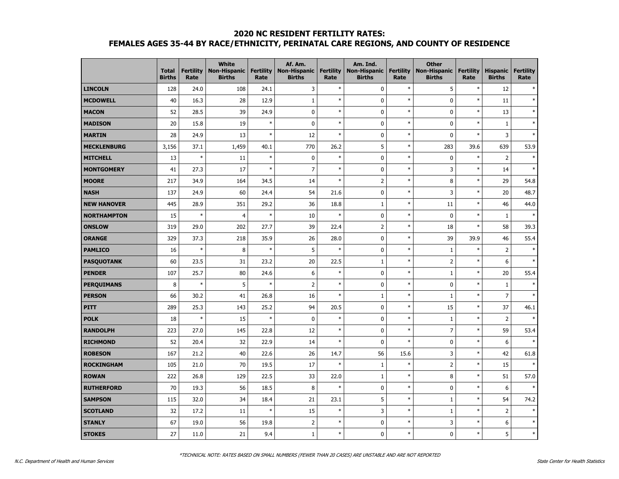# **2020 NC RESIDENT FERTILITY RATES: FEMALES AGES 35-44 BY RACE/ETHNICITY, PERINATAL CARE REGIONS, AND COUNTY OF RESIDENCE**

|                    | <b>Total</b><br><b>Births</b> | <b>Fertility</b><br>Rate | <b>White</b><br><b>Non-Hispanic</b><br><b>Births</b> | <b>Fertility</b><br>Rate | Af. Am.<br><b>Non-Hispanic</b><br><b>Births</b> | <b>Fertility</b><br>Rate | Am. Ind.<br><b>Non-Hispanic</b><br><b>Births</b> | <b>Fertility</b><br>Rate | <b>Other</b><br><b>Non-Hispanic</b><br><b>Births</b> | <b>Fertility</b><br>Rate | <b>Hispanic</b><br><b>Births</b> | <b>Fertility</b><br>Rate |
|--------------------|-------------------------------|--------------------------|------------------------------------------------------|--------------------------|-------------------------------------------------|--------------------------|--------------------------------------------------|--------------------------|------------------------------------------------------|--------------------------|----------------------------------|--------------------------|
| <b>LINCOLN</b>     | 128                           | 24.0                     | 108                                                  | 24.1                     | 3                                               | $\ast$                   | $\pmb{0}$                                        | $\ast$                   | 5                                                    | $\ast$                   | 12                               |                          |
| <b>MCDOWELL</b>    | 40                            | 16.3                     | 28                                                   | 12.9                     | $\mathbf{1}$                                    | $\ast$                   | $\mathbf{0}$                                     | $\ast$                   | 0                                                    | $\ast$                   | 11                               | $\ast$                   |
| <b>MACON</b>       | 52                            | 28.5                     | 39                                                   | 24.9                     | 0                                               | $\ast$                   | $\mathbf 0$                                      | $\ast$                   | 0                                                    | $\ast$                   | 13                               | $\ast$                   |
| <b>MADISON</b>     | 20                            | 15.8                     | 19                                                   | $\ast$                   | 0                                               | $\ast$                   | $\mathbf 0$                                      | $\ast$                   | 0                                                    | $\ast$                   | $\mathbf{1}$                     | $\ast$                   |
| <b>MARTIN</b>      | 28                            | 24.9                     | 13                                                   | $\ast$                   | 12                                              | $\ast$                   | $\mathbf 0$                                      | $\ast$                   | 0                                                    | $\ast$                   | 3                                | $\ast$                   |
| <b>MECKLENBURG</b> | 3,156                         | 37.1                     | 1,459                                                | 40.1                     | 770                                             | 26.2                     | 5                                                | $\ast$                   | 283                                                  | 39.6                     | 639                              | 53.9                     |
| <b>MITCHELL</b>    | 13                            | $\ast$                   | 11                                                   | $\ast$                   | 0                                               | $\ast$                   | $\mathbf 0$                                      | $\ast$                   | 0                                                    | $\ast$                   | $\overline{2}$                   | $\ast$                   |
| <b>MONTGOMERY</b>  | 41                            | 27.3                     | 17                                                   | $\ast$                   | $\overline{7}$                                  | $\ast$                   | $\mathbf 0$                                      | $\ast$                   | 3                                                    | $\ast$                   | 14                               | $\ast$                   |
| <b>MOORE</b>       | 217                           | 34.9                     | 164                                                  | 34.5                     | 14                                              | $\ast$                   | $\overline{2}$                                   | $\ast$                   | 8                                                    | $\ast$                   | 29                               | 54.8                     |
| <b>NASH</b>        | 137                           | 24.9                     | 60                                                   | 24.4                     | 54                                              | 21.6                     | $\mathbf 0$                                      | $\ast$                   | 3                                                    | $\ast$                   | 20                               | 48.7                     |
| <b>NEW HANOVER</b> | 445                           | 28.9                     | 351                                                  | 29.2                     | 36                                              | 18.8                     | $1\,$                                            | $\ast$                   | 11                                                   | $\ast$                   | 46                               | 44.0                     |
| <b>NORTHAMPTON</b> | 15                            | $\ast$                   | $\overline{4}$                                       | $\ast$                   | 10                                              | $\ast$                   | $\mathbf 0$                                      | $\ast$                   | $\pmb{0}$                                            | $\ast$                   | $\mathbf{1}$                     |                          |
| <b>ONSLOW</b>      | 319                           | 29.0                     | 202                                                  | 27.7                     | 39                                              | 22.4                     | $\overline{2}$                                   | $\ast$                   | 18                                                   | $\ast$                   | 58                               | 39.3                     |
| <b>ORANGE</b>      | 329                           | 37.3                     | 218                                                  | 35.9                     | 26                                              | 28.0                     | $\mathbf{0}$                                     | $\ast$                   | 39                                                   | 39.9                     | 46                               | 55.4                     |
| <b>PAMLICO</b>     | 16                            | $\ast$                   | 8                                                    | $\ast$                   | 5                                               | $\ast$                   | $\mathbf 0$                                      | $\ast$                   | $\mathbf{1}$                                         | $\ast$                   | $\overline{2}$                   | $\ast$                   |
| <b>PASQUOTANK</b>  | 60                            | 23.5                     | 31                                                   | 23.2                     | 20                                              | 22.5                     | $1\,$                                            | $\ast$                   | $\overline{2}$                                       | $\ast$                   | 6                                | $\ast$                   |
| <b>PENDER</b>      | 107                           | 25.7                     | 80                                                   | 24.6                     | 6                                               | $\ast$                   | $\mathbf 0$                                      | $\ast$                   | $\mathbf 1$                                          | $\ast$                   | 20                               | 55.4                     |
| <b>PERQUIMANS</b>  | 8                             | $\ast$                   | 5                                                    | $\ast$                   | $\overline{2}$                                  | $\ast$                   | $\mathbf 0$                                      | $\ast$                   | $\pmb{0}$                                            | $\ast$                   | $\mathbf{1}$                     | $\ast$                   |
| <b>PERSON</b>      | 66                            | 30.2                     | 41                                                   | 26.8                     | 16                                              | $\ast$                   | $1\,$                                            | $\ast$                   | $\mathbf 1$                                          | $\ast$                   | $\overline{7}$                   | $\ast$                   |
| <b>PITT</b>        | 289                           | 25.3                     | 143                                                  | 25.2                     | 94                                              | 20.5                     | $\mathbf 0$                                      | $\ast$                   | 15                                                   | $\ast$                   | 37                               | 46.1                     |
| <b>POLK</b>        | 18                            | $\ast$                   | 15                                                   | $\ast$                   | $\mathbf 0$                                     | $\ast$                   | $\mathbf 0$                                      | $\ast$                   | $\mathbf 1$                                          | $\ast$                   | $\overline{2}$                   |                          |
| <b>RANDOLPH</b>    | 223                           | 27.0                     | 145                                                  | 22.8                     | 12                                              | $\ast$                   | $\mathbf{0}$                                     | $\ast$                   | $\overline{7}$                                       | $\ast$                   | 59                               | 53.4                     |
| <b>RICHMOND</b>    | 52                            | 20.4                     | 32                                                   | 22.9                     | 14                                              | $\ast$                   | $\mathbf{0}$                                     | $\ast$                   | 0                                                    | $\ast$                   | 6                                | $\ast$                   |
| <b>ROBESON</b>     | 167                           | 21.2                     | 40                                                   | 22.6                     | 26                                              | 14.7                     | 56                                               | 15.6                     | 3                                                    | $\ast$                   | 42                               | 61.8                     |
| <b>ROCKINGHAM</b>  | 105                           | 21.0                     | 70                                                   | 19.5                     | 17                                              | $\ast$                   | $\mathbf{1}$                                     | $\ast$                   | $\mathsf{2}\,$                                       | $\ast$                   | 15                               | $\ast$                   |
| <b>ROWAN</b>       | 222                           | 26.8                     | 129                                                  | 22.5                     | 33                                              | 22.0                     | $1\,$                                            | $\ast$                   | 8                                                    | $\ast$                   | 51                               | 57.0                     |
| <b>RUTHERFORD</b>  | 70                            | 19.3                     | 56                                                   | 18.5                     | 8                                               | $\ast$                   | $\mathbf 0$                                      | $\ast$                   | 0                                                    | $\ast$                   | 6                                | $\ast$                   |
| <b>SAMPSON</b>     | 115                           | 32.0                     | 34                                                   | 18.4                     | 21                                              | 23.1                     | 5                                                | $\ast$                   | $1\,$                                                | $\ast$                   | 54                               | 74.2                     |
| <b>SCOTLAND</b>    | 32                            | 17.2                     | 11                                                   | $\ast$                   | 15                                              | $\ast$                   | 3                                                | $\ast$                   | $\mathbf 1$                                          | $\ast$                   | $\mathsf{2}$                     | $\ast$                   |
| <b>STANLY</b>      | 67                            | 19.0                     | 56                                                   | 19.8                     | $\overline{2}$                                  | $\ast$                   | $\mathbf 0$                                      | $\ast$                   | 3                                                    | $\ast$                   | 6                                | $\ast$                   |
| <b>STOKES</b>      | 27                            | 11.0                     | 21                                                   | 9.4                      | $\mathbf 1$                                     | $\ast$                   | $\mathbf 0$                                      | $\ast$                   | $\pmb{0}$                                            | $\ast$                   | 5                                | $\ast$                   |